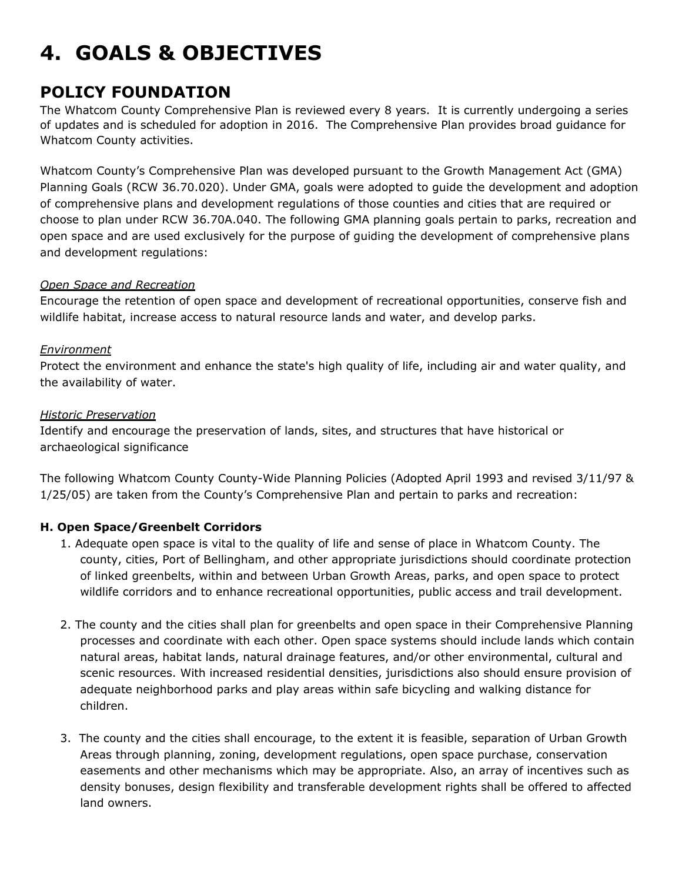# **4. GOALS & OBJECTIVES**

# **POLICY FOUNDATION**

The Whatcom County Comprehensive Plan is reviewed every 8 years. It is currently undergoing a series of updates and is scheduled for adoption in 2016. The Comprehensive Plan provides broad guidance for Whatcom County activities.

Whatcom County's Comprehensive Plan was developed pursuant to the Growth Management Act (GMA) Planning Goals (RCW 36.70.020). Under GMA, goals were adopted to guide the development and adoption of comprehensive plans and development regulations of those counties and cities that are required or choose to plan under RCW 36.70A.040. The following GMA planning goals pertain to parks, recreation and open space and are used exclusively for the purpose of guiding the development of comprehensive plans and development regulations:

# *Open Space and Recreation*

Encourage the retention of open space and development of recreational opportunities, conserve fish and wildlife habitat, increase access to natural resource lands and water, and develop parks.

# *Environment*

Protect the environment and enhance the state's high quality of life, including air and water quality, and the availability of water.

# *Historic Preservation*

Identify and encourage the preservation of lands, sites, and structures that have historical or archaeological significance

The following Whatcom County County-Wide Planning Policies (Adopted April 1993 and revised 3/11/97 & 1/25/05) are taken from the County's Comprehensive Plan and pertain to parks and recreation:

# **H. Open Space/Greenbelt Corridors**

- 1. Adequate open space is vital to the quality of life and sense of place in Whatcom County. The county, cities, Port of Bellingham, and other appropriate jurisdictions should coordinate protection of linked greenbelts, within and between Urban Growth Areas, parks, and open space to protect wildlife corridors and to enhance recreational opportunities, public access and trail development.
- 2. The county and the cities shall plan for greenbelts and open space in their Comprehensive Planning processes and coordinate with each other. Open space systems should include lands which contain natural areas, habitat lands, natural drainage features, and/or other environmental, cultural and scenic resources. With increased residential densities, jurisdictions also should ensure provision of adequate neighborhood parks and play areas within safe bicycling and walking distance for children.
- 3. The county and the cities shall encourage, to the extent it is feasible, separation of Urban Growth Areas through planning, zoning, development regulations, open space purchase, conservation easements and other mechanisms which may be appropriate. Also, an array of incentives such as density bonuses, design flexibility and transferable development rights shall be offered to affected land owners.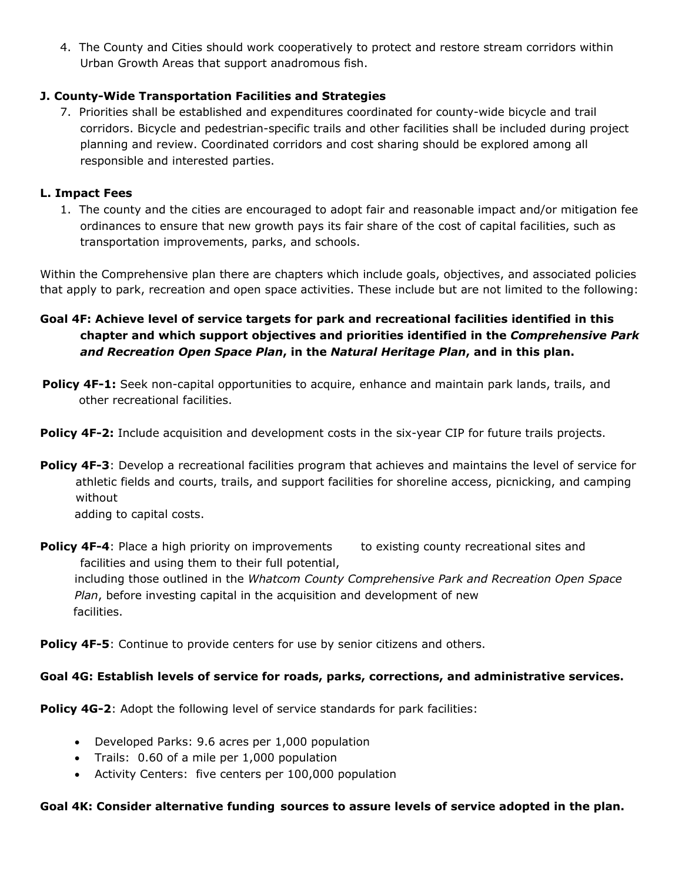4. The County and Cities should work cooperatively to protect and restore stream corridors within Urban Growth Areas that support anadromous fish.

# **J. County-Wide Transportation Facilities and Strategies**

7. Priorities shall be established and expenditures coordinated for county-wide bicycle and trail corridors. Bicycle and pedestrian-specific trails and other facilities shall be included during project planning and review. Coordinated corridors and cost sharing should be explored among all responsible and interested parties.

### **L. Impact Fees**

1. The county and the cities are encouraged to adopt fair and reasonable impact and/or mitigation fee ordinances to ensure that new growth pays its fair share of the cost of capital facilities, such as transportation improvements, parks, and schools.

Within the Comprehensive plan there are chapters which include goals, objectives, and associated policies that apply to park, recreation and open space activities. These include but are not limited to the following:

# **Goal 4F: Achieve level of service targets for park and recreational facilities identified in this chapter and which support objectives and priorities identified in the** *Comprehensive Park and Recreation Open Space Plan***, in the** *Natural Heritage Plan***, and in this plan.**

- **Policy 4F-1:** Seek non-capital opportunities to acquire, enhance and maintain park lands, trails, and other recreational facilities.
- **Policy 4F-2:** Include acquisition and development costs in the six-year CIP for future trails projects.
- **Policy 4F-3**: Develop a recreational facilities program that achieves and maintains the level of service for athletic fields and courts, trails, and support facilities for shoreline access, picnicking, and camping without adding to capital costs.

**Policy 4F-4:** Place a high priority on improvements to existing county recreational sites and facilities and using them to their full potential, including those outlined in the *Whatcom County Comprehensive Park and Recreation Open Space Plan*, before investing capital in the acquisition and development of new facilities.

**Policy 4F-5:** Continue to provide centers for use by senior citizens and others.

### **Goal 4G: Establish levels of service for roads, parks, corrections, and administrative services.**

**Policy 4G-2**: Adopt the following level of service standards for park facilities:

- Developed Parks: 9.6 acres per 1,000 population
- Trails: 0.60 of a mile per 1,000 population
- Activity Centers: five centers per 100,000 population

#### **Goal 4K: Consider alternative funding sources to assure levels of service adopted in the plan.**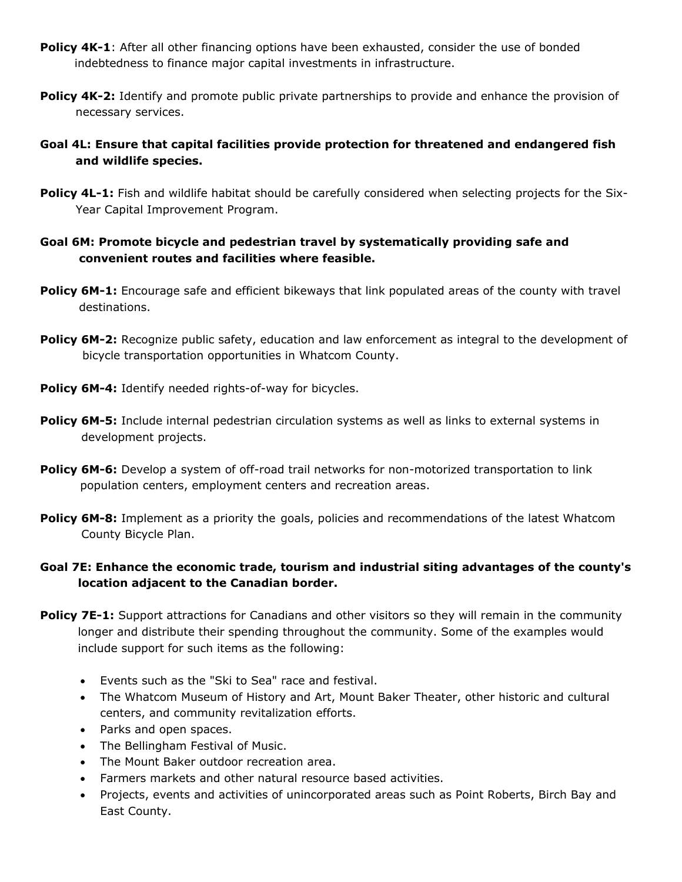- **Policy 4K-1**: After all other financing options have been exhausted, consider the use of bonded indebtedness to finance major capital investments in infrastructure.
- **Policy 4K-2:** Identify and promote public private partnerships to provide and enhance the provision of necessary services.
- **Goal 4L: Ensure that capital facilities provide protection for threatened and endangered fish and wildlife species.**
- **Policy 4L-1:** Fish and wildlife habitat should be carefully considered when selecting projects for the Six-Year Capital Improvement Program.

# **Goal 6M: Promote bicycle and pedestrian travel by systematically providing safe and convenient routes and facilities where feasible.**

- **Policy 6M-1:** Encourage safe and efficient bikeways that link populated areas of the county with travel destinations.
- **Policy 6M-2:** Recognize public safety, education and law enforcement as integral to the development of bicycle transportation opportunities in Whatcom County.
- **Policy 6M-4:** Identify needed rights-of-way for bicycles.
- **Policy 6M-5:** Include internal pedestrian circulation systems as well as links to external systems in development projects.
- **Policy 6M-6:** Develop a system of off-road trail networks for non-motorized transportation to link population centers, employment centers and recreation areas.
- **Policy 6M-8:** Implement as a priority the goals, policies and recommendations of the latest Whatcom County Bicycle Plan.

# **Goal 7E: Enhance the economic trade, tourism and industrial siting advantages of the county's location adjacent to the Canadian border.**

- **Policy 7E-1:** Support attractions for Canadians and other visitors so they will remain in the community longer and distribute their spending throughout the community. Some of the examples would include support for such items as the following:
	- Events such as the "Ski to Sea" race and festival.
	- The Whatcom Museum of History and Art, Mount Baker Theater, other historic and cultural centers, and community revitalization efforts.
	- Parks and open spaces.
	- The Bellingham Festival of Music.
	- The Mount Baker outdoor recreation area.
	- Farmers markets and other natural resource based activities.
	- Projects, events and activities of unincorporated areas such as Point Roberts, Birch Bay and East County.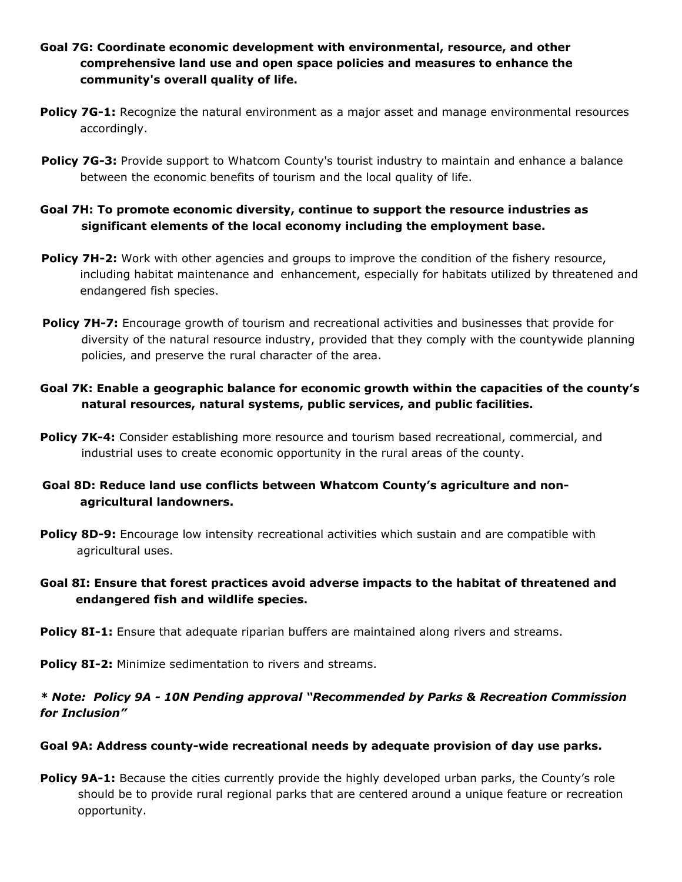- **Goal 7G: Coordinate economic development with environmental, resource, and other comprehensive land use and open space policies and measures to enhance the community's overall quality of life.**
- **Policy 7G-1:** Recognize the natural environment as a major asset and manage environmental resources accordingly.
- **Policy 7G-3:** Provide support to Whatcom County's tourist industry to maintain and enhance a balance between the economic benefits of tourism and the local quality of life.

## **Goal 7H: To promote economic diversity, continue to support the resource industries as significant elements of the local economy including the employment base.**

- **Policy 7H-2:** Work with other agencies and groups to improve the condition of the fishery resource, including habitat maintenance and enhancement, especially for habitats utilized by threatened and endangered fish species.
- **Policy 7H-7:** Encourage growth of tourism and recreational activities and businesses that provide for diversity of the natural resource industry, provided that they comply with the countywide planning policies, and preserve the rural character of the area.
- **Goal 7K: Enable a geographic balance for economic growth within the capacities of the county's natural resources, natural systems, public services, and public facilities.**
- **Policy 7K-4:** Consider establishing more resource and tourism based recreational, commercial, and industrial uses to create economic opportunity in the rural areas of the county.
- **Goal 8D: Reduce land use conflicts between Whatcom County's agriculture and nonagricultural landowners.**
- **Policy 8D-9:** Encourage low intensity recreational activities which sustain and are compatible with agricultural uses.
- **Goal 8I: Ensure that forest practices avoid adverse impacts to the habitat of threatened and endangered fish and wildlife species.**
- **Policy 8I-1:** Ensure that adequate riparian buffers are maintained along rivers and streams.

**Policy 8I-2:** Minimize sedimentation to rivers and streams.

# *\* Note: Policy 9A - 10N Pending approval "Recommended by Parks & Recreation Commission for Inclusion"*

### **Goal 9A: Address county-wide recreational needs by adequate provision of day use parks.**

**Policy 9A-1:** Because the cities currently provide the highly developed urban parks, the County's role should be to provide rural regional parks that are centered around a unique feature or recreation opportunity.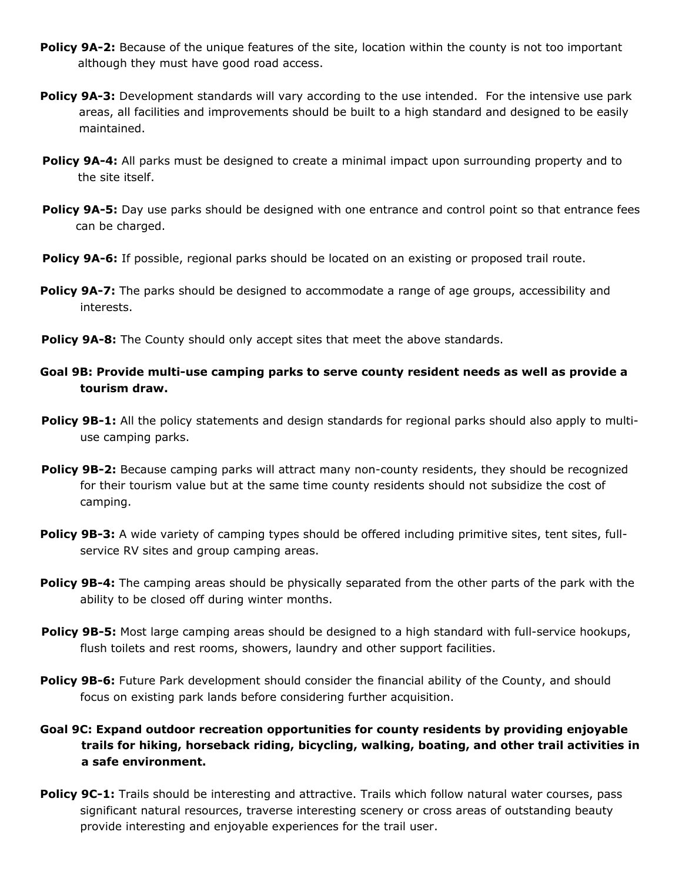- **Policy 9A-2:** Because of the unique features of the site, location within the county is not too important although they must have good road access.
- **Policy 9A-3:** Development standards will vary according to the use intended. For the intensive use park areas, all facilities and improvements should be built to a high standard and designed to be easily maintained.
- **Policy 9A-4:** All parks must be designed to create a minimal impact upon surrounding property and to the site itself.
- **Policy 9A-5:** Day use parks should be designed with one entrance and control point so that entrance fees can be charged.
- **Policy 9A-6:** If possible, regional parks should be located on an existing or proposed trail route.
- **Policy 9A-7:** The parks should be designed to accommodate a range of age groups, accessibility and interests.
- **Policy 9A-8:** The County should only accept sites that meet the above standards.
- **Goal 9B: Provide multi-use camping parks to serve county resident needs as well as provide a tourism draw.**
- **Policy 9B-1:** All the policy statements and design standards for regional parks should also apply to multiuse camping parks.
- **Policy 9B-2:** Because camping parks will attract many non-county residents, they should be recognized for their tourism value but at the same time county residents should not subsidize the cost of camping.
- **Policy 9B-3:** A wide variety of camping types should be offered including primitive sites, tent sites, fullservice RV sites and group camping areas.
- **Policy 9B-4:** The camping areas should be physically separated from the other parts of the park with the ability to be closed off during winter months.
- **Policy 9B-5:** Most large camping areas should be designed to a high standard with full-service hookups, flush toilets and rest rooms, showers, laundry and other support facilities.
- **Policy 9B-6:** Future Park development should consider the financial ability of the County, and should focus on existing park lands before considering further acquisition.
- **Goal 9C: Expand outdoor recreation opportunities for county residents by providing enjoyable trails for hiking, horseback riding, bicycling, walking, boating, and other trail activities in a safe environment.**
- **Policy 9C-1:** Trails should be interesting and attractive. Trails which follow natural water courses, pass significant natural resources, traverse interesting scenery or cross areas of outstanding beauty provide interesting and enjoyable experiences for the trail user.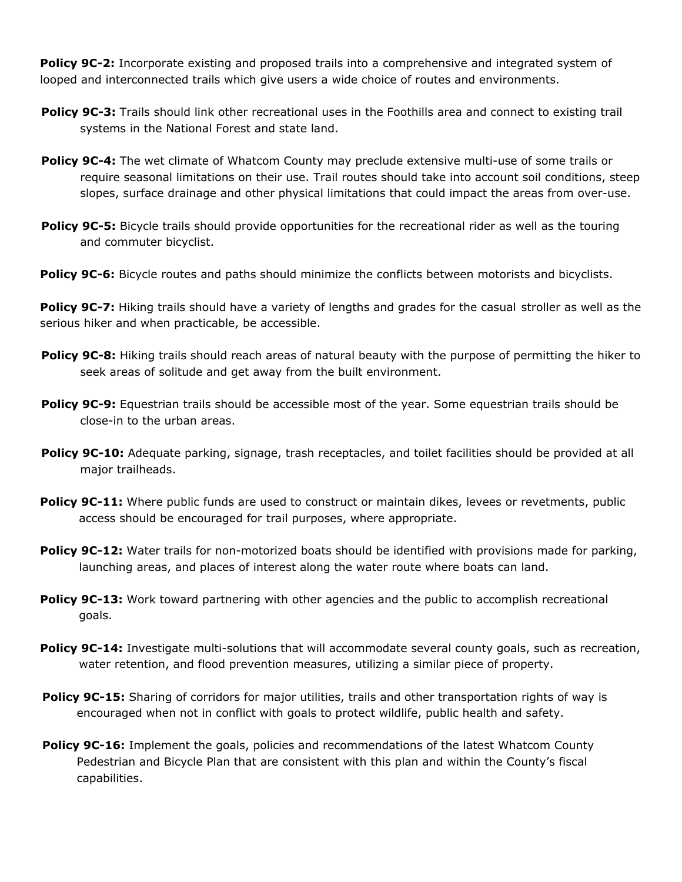**Policy 9C-2:** Incorporate existing and proposed trails into a comprehensive and integrated system of looped and interconnected trails which give users a wide choice of routes and environments.

- **Policy 9C-3:** Trails should link other recreational uses in the Foothills area and connect to existing trail systems in the National Forest and state land.
- **Policy 9C-4:** The wet climate of Whatcom County may preclude extensive multi-use of some trails or require seasonal limitations on their use. Trail routes should take into account soil conditions, steep slopes, surface drainage and other physical limitations that could impact the areas from over-use.
- **Policy 9C-5:** Bicycle trails should provide opportunities for the recreational rider as well as the touring and commuter bicyclist.
- Policy 9C-6: Bicycle routes and paths should minimize the conflicts between motorists and bicyclists.

**Policy 9C-7:** Hiking trails should have a variety of lengths and grades for the casual stroller as well as the serious hiker and when practicable, be accessible.

- **Policy 9C-8:** Hiking trails should reach areas of natural beauty with the purpose of permitting the hiker to seek areas of solitude and get away from the built environment.
- **Policy 9C-9:** Equestrian trails should be accessible most of the year. Some equestrian trails should be close-in to the urban areas.
- Policy 9C-10: Adequate parking, signage, trash receptacles, and toilet facilities should be provided at all major trailheads.
- **Policy 9C-11:** Where public funds are used to construct or maintain dikes, levees or revetments, public access should be encouraged for trail purposes, where appropriate.
- **Policy 9C-12:** Water trails for non-motorized boats should be identified with provisions made for parking, launching areas, and places of interest along the water route where boats can land.
- **Policy 9C-13:** Work toward partnering with other agencies and the public to accomplish recreational goals.
- **Policy 9C-14:** Investigate multi-solutions that will accommodate several county goals, such as recreation, water retention, and flood prevention measures, utilizing a similar piece of property.
- **Policy 9C-15:** Sharing of corridors for major utilities, trails and other transportation rights of way is encouraged when not in conflict with goals to protect wildlife, public health and safety.
- **Policy 9C-16:** Implement the goals, policies and recommendations of the latest Whatcom County Pedestrian and Bicycle Plan that are consistent with this plan and within the County's fiscal capabilities.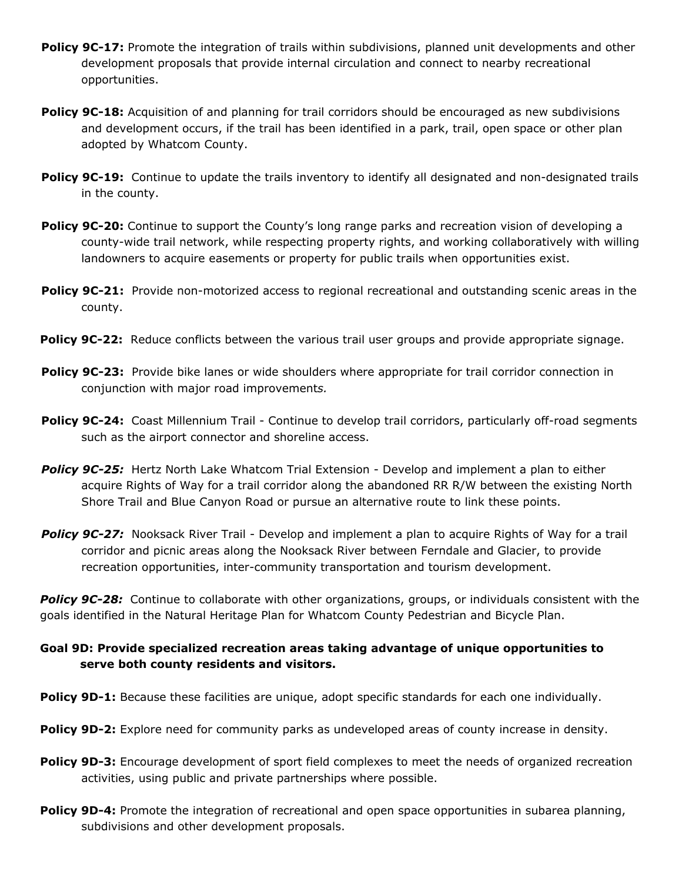- **Policy 9C-17:** Promote the integration of trails within subdivisions, planned unit developments and other development proposals that provide internal circulation and connect to nearby recreational opportunities.
- **Policy 9C-18:** Acquisition of and planning for trail corridors should be encouraged as new subdivisions and development occurs, if the trail has been identified in a park, trail, open space or other plan adopted by Whatcom County.
- **Policy 9C-19:** Continue to update the trails inventory to identify all designated and non-designated trails in the county.
- **Policy 9C-20:** Continue to support the County's long range parks and recreation vision of developing a county-wide trail network, while respecting property rights, and working collaboratively with willing landowners to acquire easements or property for public trails when opportunities exist.
- **Policy 9C-21:** Provide non-motorized access to regional recreational and outstanding scenic areas in the county.
- **Policy 9C-22:** Reduce conflicts between the various trail user groups and provide appropriate signage.
- **Policy 9C-23:**Provide bike lanes or wide shoulders where appropriate for trail corridor connection in conjunction with major road improvement*s.*
- **Policy 9C-24:**Coast Millennium Trail Continue to develop trail corridors, particularly off-road segments such as the airport connector and shoreline access.
- **Policy 9C-25:** Hertz North Lake Whatcom Trial Extension Develop and implement a plan to either acquire Rights of Way for a trail corridor along the abandoned RR R/W between the existing North Shore Trail and Blue Canyon Road or pursue an alternative route to link these points.
- **Policy 9C-27:** Nooksack River Trail Develop and implement a plan to acquire Rights of Way for a trail corridor and picnic areas along the Nooksack River between Ferndale and Glacier, to provide recreation opportunities, inter-community transportation and tourism development.

**Policy 9C-28:** Continue to collaborate with other organizations, groups, or individuals consistent with the goals identified in the Natural Heritage Plan for Whatcom County Pedestrian and Bicycle Plan.

# **Goal 9D: Provide specialized recreation areas taking advantage of unique opportunities to serve both county residents and visitors.**

- **Policy 9D-1:** Because these facilities are unique, adopt specific standards for each one individually.
- **Policy 9D-2:** Explore need for community parks as undeveloped areas of county increase in density.
- **Policy 9D-3:** Encourage development of sport field complexes to meet the needs of organized recreation activities, using public and private partnerships where possible.
- **Policy 9D-4:** Promote the integration of recreational and open space opportunities in subarea planning, subdivisions and other development proposals.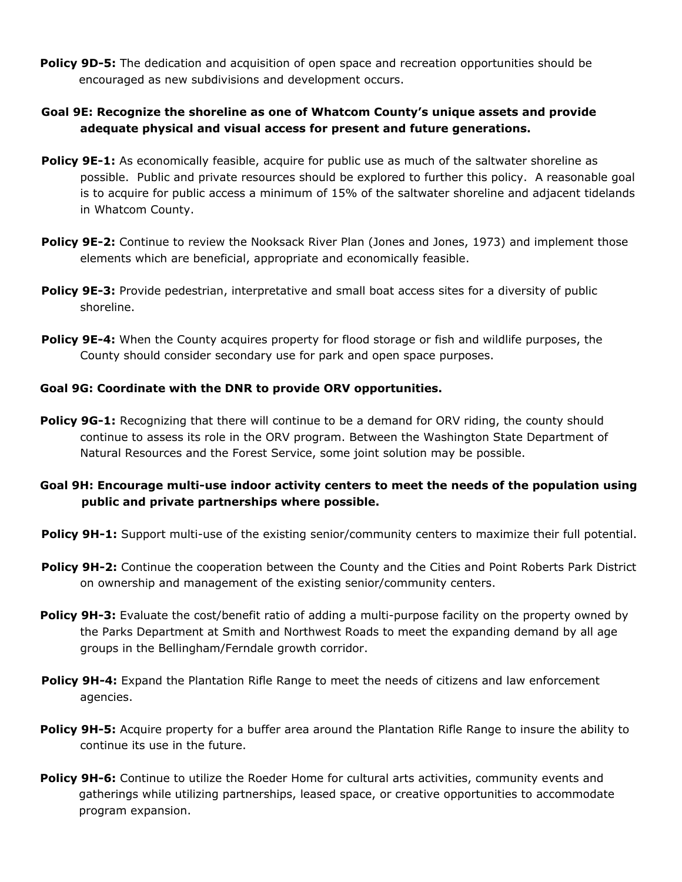**Policy 9D-5:** The dedication and acquisition of open space and recreation opportunities should be encouraged as new subdivisions and development occurs.

# **Goal 9E: Recognize the shoreline as one of Whatcom County's unique assets and provide adequate physical and visual access for present and future generations.**

- **Policy 9E-1:** As economically feasible, acquire for public use as much of the saltwater shoreline as possible. Public and private resources should be explored to further this policy. A reasonable goal is to acquire for public access a minimum of 15% of the saltwater shoreline and adjacent tidelands in Whatcom County.
- **Policy 9E-2:** Continue to review the Nooksack River Plan (Jones and Jones, 1973) and implement those elements which are beneficial, appropriate and economically feasible.
- **Policy 9E-3:** Provide pedestrian, interpretative and small boat access sites for a diversity of public shoreline.
- **Policy 9E-4:** When the County acquires property for flood storage or fish and wildlife purposes, the County should consider secondary use for park and open space purposes.

### **Goal 9G: Coordinate with the DNR to provide ORV opportunities.**

- **Policy 9G-1:** Recognizing that there will continue to be a demand for ORV riding, the county should continue to assess its role in the ORV program. Between the Washington State Department of Natural Resources and the Forest Service, some joint solution may be possible.
- **Goal 9H: Encourage multi-use indoor activity centers to meet the needs of the population using public and private partnerships where possible.**
- **Policy 9H-1:** Support multi-use of the existing senior/community centers to maximize their full potential.
- **Policy 9H-2:** Continue the cooperation between the County and the Cities and Point Roberts Park District on ownership and management of the existing senior/community centers.
- **Policy 9H-3:** Evaluate the cost/benefit ratio of adding a multi-purpose facility on the property owned by the Parks Department at Smith and Northwest Roads to meet the expanding demand by all age groups in the Bellingham/Ferndale growth corridor.
- **Policy 9H-4:** Expand the Plantation Rifle Range to meet the needs of citizens and law enforcement agencies.
- **Policy 9H-5:** Acquire property for a buffer area around the Plantation Rifle Range to insure the ability to continue its use in the future.
- Policy 9H-6: Continue to utilize the Roeder Home for cultural arts activities, community events and gatherings while utilizing partnerships, leased space, or creative opportunities to accommodate program expansion.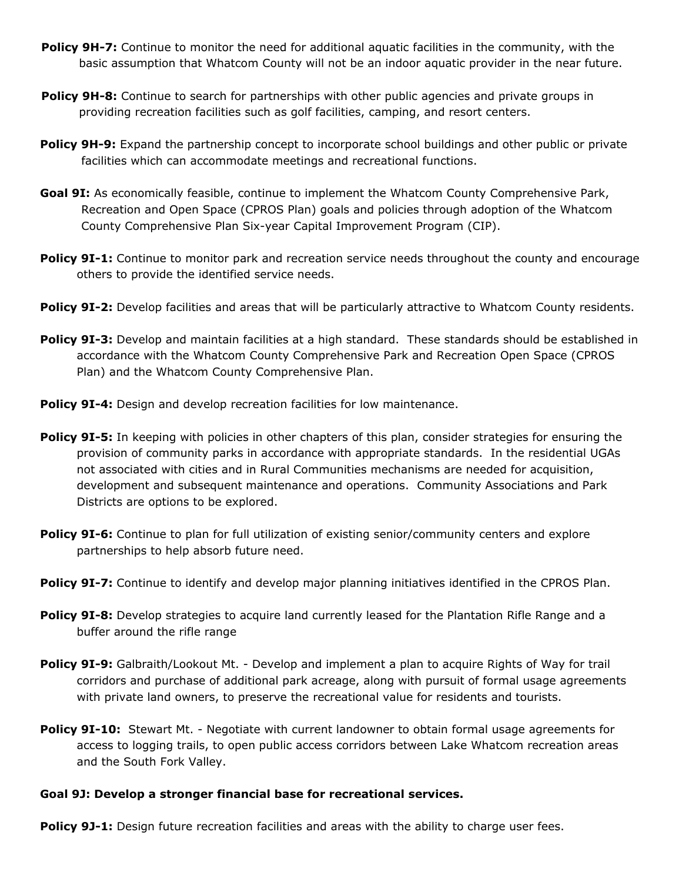- **Policy 9H-7:** Continue to monitor the need for additional aquatic facilities in the community, with the basic assumption that Whatcom County will not be an indoor aquatic provider in the near future.
- **Policy 9H-8:** Continue to search for partnerships with other public agencies and private groups in providing recreation facilities such as golf facilities, camping, and resort centers.
- **Policy 9H-9:** Expand the partnership concept to incorporate school buildings and other public or private facilities which can accommodate meetings and recreational functions.
- **Goal 9I:** As economically feasible, continue to implement the Whatcom County Comprehensive Park, Recreation and Open Space (CPROS Plan) goals and policies through adoption of the Whatcom County Comprehensive Plan Six-year Capital Improvement Program (CIP).
- **Policy 9I-1:** Continue to monitor park and recreation service needs throughout the county and encourage others to provide the identified service needs.
- **Policy 9I-2:** Develop facilities and areas that will be particularly attractive to Whatcom County residents.
- **Policy 9I-3:** Develop and maintain facilities at a high standard. These standards should be established in accordance with the Whatcom County Comprehensive Park and Recreation Open Space (CPROS Plan) and the Whatcom County Comprehensive Plan.
- **Policy 9I-4:** Design and develop recreation facilities for low maintenance.
- **Policy 9I-5:** In keeping with policies in other chapters of this plan, consider strategies for ensuring the provision of community parks in accordance with appropriate standards. In the residential UGAs not associated with cities and in Rural Communities mechanisms are needed for acquisition, development and subsequent maintenance and operations. Community Associations and Park Districts are options to be explored.
- **Policy 9I-6:** Continue to plan for full utilization of existing senior/community centers and explore partnerships to help absorb future need.
- **Policy 9I-7:** Continue to identify and develop major planning initiatives identified in the CPROS Plan.
- **Policy 9I-8:** Develop strategies to acquire land currently leased for the Plantation Rifle Range and a buffer around the rifle range
- **Policy 9I-9:** Galbraith/Lookout Mt. Develop and implement a plan to acquire Rights of Way for trail corridors and purchase of additional park acreage, along with pursuit of formal usage agreements with private land owners, to preserve the recreational value for residents and tourists.
- **Policy 9I-10:** Stewart Mt. Negotiate with current landowner to obtain formal usage agreements for access to logging trails, to open public access corridors between Lake Whatcom recreation areas and the South Fork Valley.

#### **Goal 9J: Develop a stronger financial base for recreational services.**

**Policy 9J-1:** Design future recreation facilities and areas with the ability to charge user fees.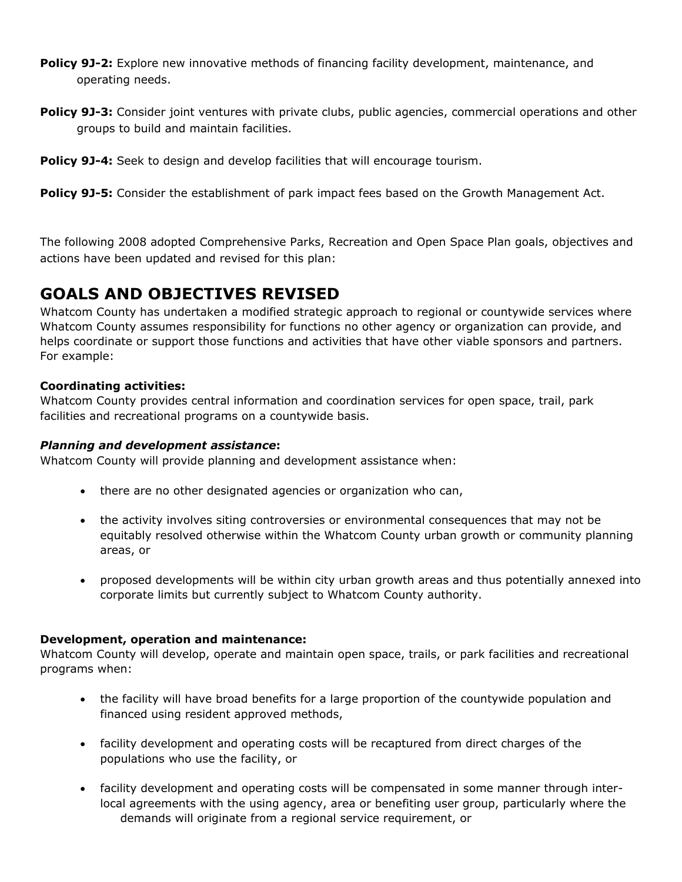- **Policy 9J-2:** Explore new innovative methods of financing facility development, maintenance, and operating needs.
- **Policy 9J-3:** Consider joint ventures with private clubs, public agencies, commercial operations and other groups to build and maintain facilities.

```
Policy 9J-4: Seek to design and develop facilities that will encourage tourism.
```
**Policy 9J-5:** Consider the establishment of park impact fees based on the Growth Management Act.

The following 2008 adopted Comprehensive Parks, Recreation and Open Space Plan goals, objectives and actions have been updated and revised for this plan:

# **GOALS AND OBJECTIVES REVISED**

Whatcom County has undertaken a modified strategic approach to regional or countywide services where Whatcom County assumes responsibility for functions no other agency or organization can provide, and helps coordinate or support those functions and activities that have other viable sponsors and partners. For example:

### **Coordinating activities:**

Whatcom County provides central information and coordination services for open space, trail, park facilities and recreational programs on a countywide basis.

### *Planning and development assistance***:**

Whatcom County will provide planning and development assistance when:

- there are no other designated agencies or organization who can,
- the activity involves siting controversies or environmental consequences that may not be equitably resolved otherwise within the Whatcom County urban growth or community planning areas, or
- proposed developments will be within city urban growth areas and thus potentially annexed into corporate limits but currently subject to Whatcom County authority.

### **Development, operation and maintenance:**

Whatcom County will develop, operate and maintain open space, trails, or park facilities and recreational programs when:

- the facility will have broad benefits for a large proportion of the countywide population and financed using resident approved methods,
- facility development and operating costs will be recaptured from direct charges of the populations who use the facility, or
- facility development and operating costs will be compensated in some manner through interlocal agreements with the using agency, area or benefiting user group, particularly where the demands will originate from a regional service requirement, or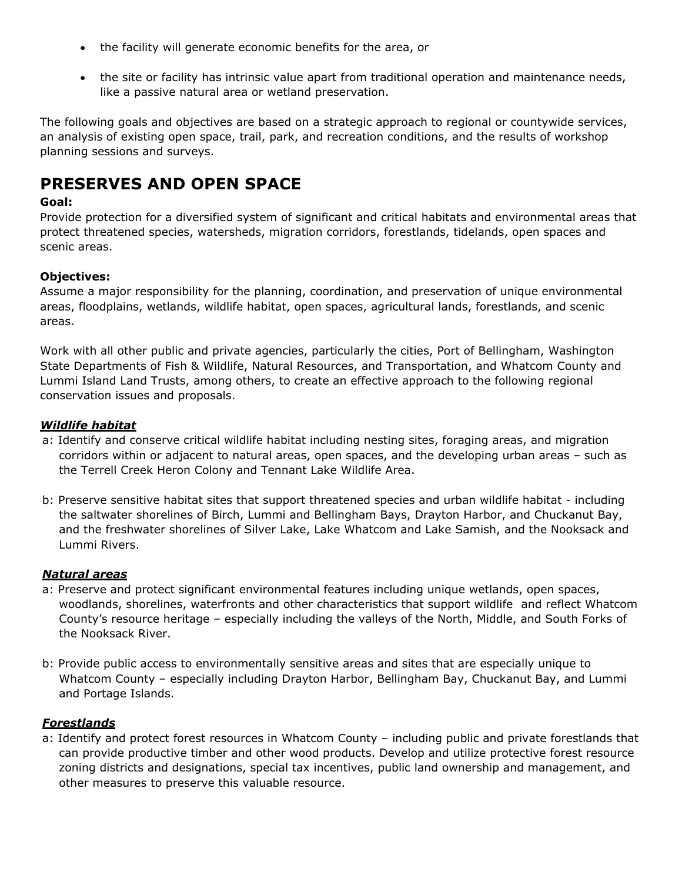- the facility will generate economic benefits for the area, or
- the site or facility has intrinsic value apart from traditional operation and maintenance needs, like a passive natural area or wetland preservation.

The following goals and objectives are based on a strategic approach to regional or countywide services, an analysis of existing open space, trail, park, and recreation conditions, and the results of workshop planning sessions and surveys.

# **PRESERVES AND OPEN SPACE**

### **Goal:**

Provide protection for a diversified system of significant and critical habitats and environmental areas that protect threatened species, watersheds, migration corridors, forestlands, tidelands, open spaces and scenic areas.

### **Objectives:**

Assume a major responsibility for the planning, coordination, and preservation of unique environmental areas, floodplains, wetlands, wildlife habitat, open spaces, agricultural lands, forestlands, and scenic areas.

Work with all other public and private agencies, particularly the cities, Port of Bellingham, Washington State Departments of Fish & Wildlife, Natural Resources, and Transportation, and Whatcom County and Lummi Island Land Trusts, among others, to create an effective approach to the following regional conservation issues and proposals.

### *Wildlife habitat*

- a: Identify and conserve critical wildlife habitat including nesting sites, foraging areas, and migration corridors within or adjacent to natural areas, open spaces, and the developing urban areas – such as the Terrell Creek Heron Colony and Tennant Lake Wildlife Area.
- b: Preserve sensitive habitat sites that support threatened species and urban wildlife habitat including the saltwater shorelines of Birch, Lummi and Bellingham Bays, Drayton Harbor, and Chuckanut Bay, and the freshwater shorelines of Silver Lake, Lake Whatcom and Lake Samish, and the Nooksack and Lummi Rivers.

### *Natural areas*

- a: Preserve and protect significant environmental features including unique wetlands, open spaces, woodlands, shorelines, waterfronts and other characteristics that support wildlife and reflect Whatcom County's resource heritage – especially including the valleys of the North, Middle, and South Forks of the Nooksack River.
- b: Provide public access to environmentally sensitive areas and sites that are especially unique to Whatcom County – especially including Drayton Harbor, Bellingham Bay, Chuckanut Bay, and Lummi and Portage Islands.

# *Forestlands*

a: Identify and protect forest resources in Whatcom County – including public and private forestlands that can provide productive timber and other wood products. Develop and utilize protective forest resource zoning districts and designations, special tax incentives, public land ownership and management, and other measures to preserve this valuable resource.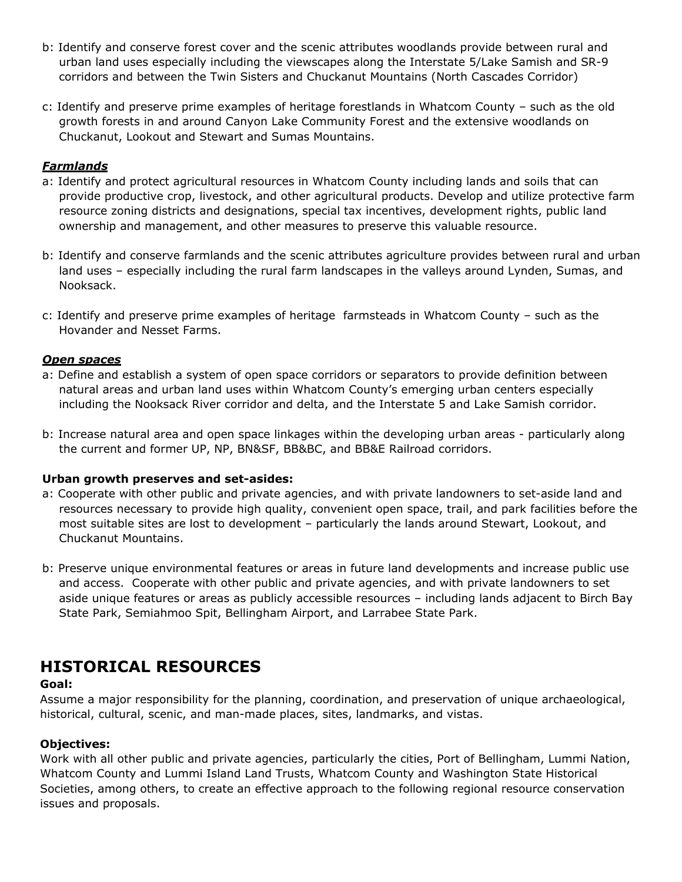- b: Identify and conserve forest cover and the scenic attributes woodlands provide between rural and urban land uses especially including the viewscapes along the Interstate 5/Lake Samish and SR-9 corridors and between the Twin Sisters and Chuckanut Mountains (North Cascades Corridor)
- c: Identify and preserve prime examples of heritage forestlands in Whatcom County such as the old growth forests in and around Canyon Lake Community Forest and the extensive woodlands on Chuckanut, Lookout and Stewart and Sumas Mountains.

# *Farmlands*

- a: Identify and protect agricultural resources in Whatcom County including lands and soils that can provide productive crop, livestock, and other agricultural products. Develop and utilize protective farm resource zoning districts and designations, special tax incentives, development rights, public land ownership and management, and other measures to preserve this valuable resource.
- b: Identify and conserve farmlands and the scenic attributes agriculture provides between rural and urban land uses – especially including the rural farm landscapes in the valleys around Lynden, Sumas, and Nooksack.
- c: Identify and preserve prime examples of heritage farmsteads in Whatcom County such as the Hovander and Nesset Farms.

### *Open spaces*

- a: Define and establish a system of open space corridors or separators to provide definition between natural areas and urban land uses within Whatcom County's emerging urban centers especially including the Nooksack River corridor and delta, and the Interstate 5 and Lake Samish corridor.
- b: Increase natural area and open space linkages within the developing urban areas particularly along the current and former UP, NP, BN&SF, BB&BC, and BB&E Railroad corridors.

#### **Urban growth preserves and set-asides:**

- a: Cooperate with other public and private agencies, and with private landowners to set-aside land and resources necessary to provide high quality, convenient open space, trail, and park facilities before the most suitable sites are lost to development – particularly the lands around Stewart, Lookout, and Chuckanut Mountains.
- b: Preserve unique environmental features or areas in future land developments and increase public use and access. Cooperate with other public and private agencies, and with private landowners to set aside unique features or areas as publicly accessible resources – including lands adjacent to Birch Bay State Park, Semiahmoo Spit, Bellingham Airport, and Larrabee State Park.

# **HISTORICAL RESOURCES**

### **Goal:**

Assume a major responsibility for the planning, coordination, and preservation of unique archaeological, historical, cultural, scenic, and man-made places, sites, landmarks, and vistas.

### **Objectives:**

Work with all other public and private agencies, particularly the cities, Port of Bellingham, Lummi Nation, Whatcom County and Lummi Island Land Trusts, Whatcom County and Washington State Historical Societies, among others, to create an effective approach to the following regional resource conservation issues and proposals.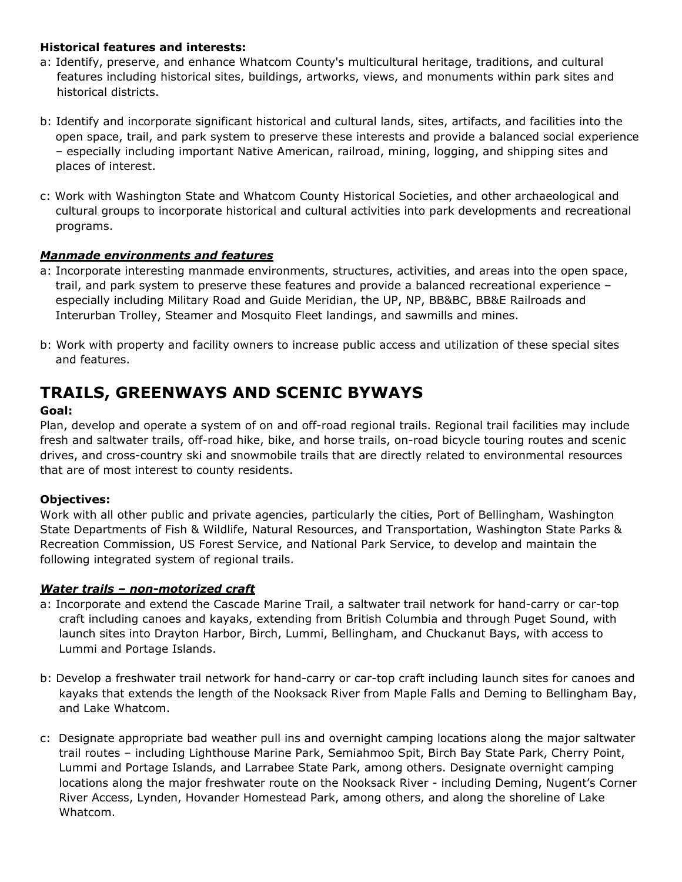### **Historical features and interests:**

- a: Identify, preserve, and enhance Whatcom County's multicultural heritage, traditions, and cultural features including historical sites, buildings, artworks, views, and monuments within park sites and historical districts.
- b: Identify and incorporate significant historical and cultural lands, sites, artifacts, and facilities into the open space, trail, and park system to preserve these interests and provide a balanced social experience – especially including important Native American, railroad, mining, logging, and shipping sites and places of interest.
- c: Work with Washington State and Whatcom County Historical Societies, and other archaeological and cultural groups to incorporate historical and cultural activities into park developments and recreational programs.

# *Manmade environments and features*

- a: Incorporate interesting manmade environments, structures, activities, and areas into the open space, trail, and park system to preserve these features and provide a balanced recreational experience – especially including Military Road and Guide Meridian, the UP, NP, BB&BC, BB&E Railroads and Interurban Trolley, Steamer and Mosquito Fleet landings, and sawmills and mines.
- b: Work with property and facility owners to increase public access and utilization of these special sites and features.

# **TRAILS, GREENWAYS AND SCENIC BYWAYS**

# **Goal:**

Plan, develop and operate a system of on and off-road regional trails. Regional trail facilities may include fresh and saltwater trails, off-road hike, bike, and horse trails, on-road bicycle touring routes and scenic drives, and cross-country ski and snowmobile trails that are directly related to environmental resources that are of most interest to county residents.

# **Objectives:**

Work with all other public and private agencies, particularly the cities, Port of Bellingham, Washington State Departments of Fish & Wildlife, Natural Resources, and Transportation, Washington State Parks & Recreation Commission, US Forest Service, and National Park Service, to develop and maintain the following integrated system of regional trails.

### *Water trails – non-motorized craft*

- a: Incorporate and extend the Cascade Marine Trail, a saltwater trail network for hand-carry or car-top craft including canoes and kayaks, extending from British Columbia and through Puget Sound, with launch sites into Drayton Harbor, Birch, Lummi, Bellingham, and Chuckanut Bays, with access to Lummi and Portage Islands.
- b: Develop a freshwater trail network for hand-carry or car-top craft including launch sites for canoes and kayaks that extends the length of the Nooksack River from Maple Falls and Deming to Bellingham Bay, and Lake Whatcom.
- c: Designate appropriate bad weather pull ins and overnight camping locations along the major saltwater trail routes – including Lighthouse Marine Park, Semiahmoo Spit, Birch Bay State Park, Cherry Point, Lummi and Portage Islands, and Larrabee State Park, among others. Designate overnight camping locations along the major freshwater route on the Nooksack River - including Deming, Nugent's Corner River Access, Lynden, Hovander Homestead Park, among others, and along the shoreline of Lake Whatcom.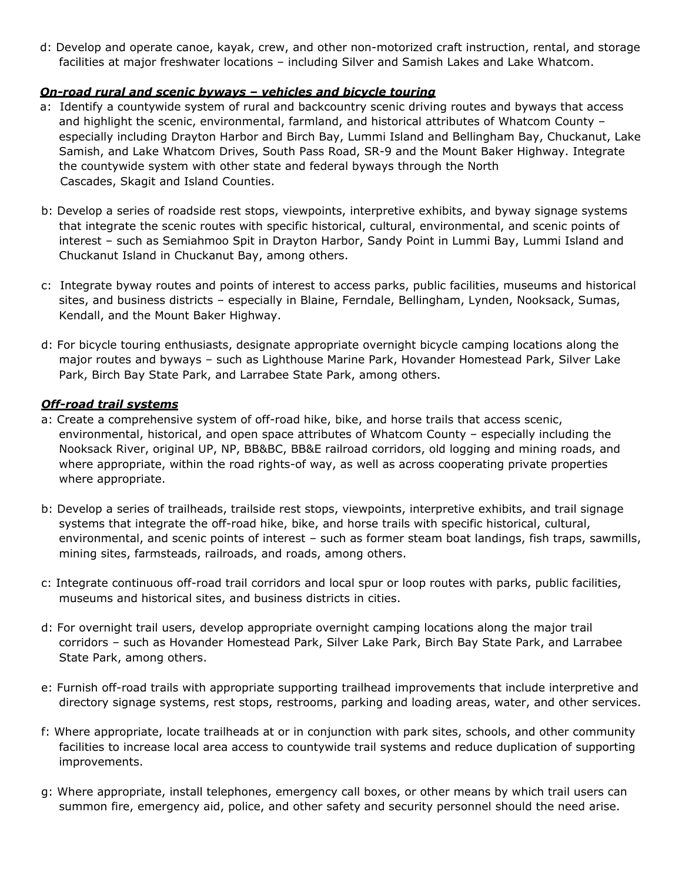d: Develop and operate canoe, kayak, crew, and other non-motorized craft instruction, rental, and storage facilities at major freshwater locations – including Silver and Samish Lakes and Lake Whatcom.

#### *On-road rural and scenic byways – vehicles and bicycle touring*

- a: Identify a countywide system of rural and backcountry scenic driving routes and byways that access and highlight the scenic, environmental, farmland, and historical attributes of Whatcom County – especially including Drayton Harbor and Birch Bay, Lummi Island and Bellingham Bay, Chuckanut, Lake Samish, and Lake Whatcom Drives, South Pass Road, SR-9 and the Mount Baker Highway. Integrate the countywide system with other state and federal byways through the North Cascades, Skagit and Island Counties.
- b: Develop a series of roadside rest stops, viewpoints, interpretive exhibits, and byway signage systems that integrate the scenic routes with specific historical, cultural, environmental, and scenic points of interest – such as Semiahmoo Spit in Drayton Harbor, Sandy Point in Lummi Bay, Lummi Island and Chuckanut Island in Chuckanut Bay, among others.
- c: Integrate byway routes and points of interest to access parks, public facilities, museums and historical sites, and business districts – especially in Blaine, Ferndale, Bellingham, Lynden, Nooksack, Sumas, Kendall, and the Mount Baker Highway.
- d: For bicycle touring enthusiasts, designate appropriate overnight bicycle camping locations along the major routes and byways – such as Lighthouse Marine Park, Hovander Homestead Park, Silver Lake Park, Birch Bay State Park, and Larrabee State Park, among others.

#### *Off-road trail systems*

- a: Create a comprehensive system of off-road hike, bike, and horse trails that access scenic, environmental, historical, and open space attributes of Whatcom County – especially including the Nooksack River, original UP, NP, BB&BC, BB&E railroad corridors, old logging and mining roads, and where appropriate, within the road rights-of way, as well as across cooperating private properties where appropriate.
- b: Develop a series of trailheads, trailside rest stops, viewpoints, interpretive exhibits, and trail signage systems that integrate the off-road hike, bike, and horse trails with specific historical, cultural, environmental, and scenic points of interest – such as former steam boat landings, fish traps, sawmills, mining sites, farmsteads, railroads, and roads, among others.
- c: Integrate continuous off-road trail corridors and local spur or loop routes with parks, public facilities, museums and historical sites, and business districts in cities.
- d: For overnight trail users, develop appropriate overnight camping locations along the major trail corridors – such as Hovander Homestead Park, Silver Lake Park, Birch Bay State Park, and Larrabee State Park, among others.
- e: Furnish off-road trails with appropriate supporting trailhead improvements that include interpretive and directory signage systems, rest stops, restrooms, parking and loading areas, water, and other services.
- f: Where appropriate, locate trailheads at or in conjunction with park sites, schools, and other community facilities to increase local area access to countywide trail systems and reduce duplication of supporting improvements.
- g: Where appropriate, install telephones, emergency call boxes, or other means by which trail users can summon fire, emergency aid, police, and other safety and security personnel should the need arise.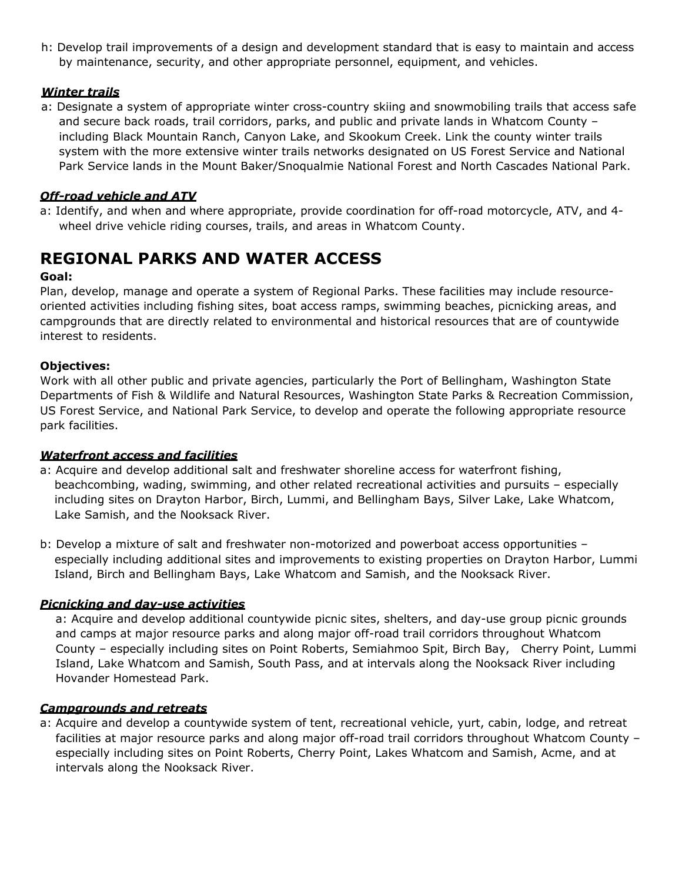h: Develop trail improvements of a design and development standard that is easy to maintain and access by maintenance, security, and other appropriate personnel, equipment, and vehicles.

# *Winter trails*

a: Designate a system of appropriate winter cross-country skiing and snowmobiling trails that access safe and secure back roads, trail corridors, parks, and public and private lands in Whatcom County – including Black Mountain Ranch, Canyon Lake, and Skookum Creek. Link the county winter trails system with the more extensive winter trails networks designated on US Forest Service and National Park Service lands in the Mount Baker/Snoqualmie National Forest and North Cascades National Park.

# *Off-road vehicle and ATV*

a: Identify, and when and where appropriate, provide coordination for off-road motorcycle, ATV, and 4 wheel drive vehicle riding courses, trails, and areas in Whatcom County.

# **REGIONAL PARKS AND WATER ACCESS**

# **Goal:**

Plan, develop, manage and operate a system of Regional Parks. These facilities may include resourceoriented activities including fishing sites, boat access ramps, swimming beaches, picnicking areas, and campgrounds that are directly related to environmental and historical resources that are of countywide interest to residents.

### **Objectives:**

Work with all other public and private agencies, particularly the Port of Bellingham, Washington State Departments of Fish & Wildlife and Natural Resources, Washington State Parks & Recreation Commission, US Forest Service, and National Park Service, to develop and operate the following appropriate resource park facilities.

### *Waterfront access and facilities*

- a: Acquire and develop additional salt and freshwater shoreline access for waterfront fishing, beachcombing, wading, swimming, and other related recreational activities and pursuits – especially including sites on Drayton Harbor, Birch, Lummi, and Bellingham Bays, Silver Lake, Lake Whatcom, Lake Samish, and the Nooksack River.
- b: Develop a mixture of salt and freshwater non-motorized and powerboat access opportunities especially including additional sites and improvements to existing properties on Drayton Harbor, Lummi Island, Birch and Bellingham Bays, Lake Whatcom and Samish, and the Nooksack River.

### *Picnicking and day-use activities*

a: Acquire and develop additional countywide picnic sites, shelters, and day-use group picnic grounds and camps at major resource parks and along major off-road trail corridors throughout Whatcom County – especially including sites on Point Roberts, Semiahmoo Spit, Birch Bay, Cherry Point, Lummi Island, Lake Whatcom and Samish, South Pass, and at intervals along the Nooksack River including Hovander Homestead Park.

### *Campgrounds and retreats*

a: Acquire and develop a countywide system of tent, recreational vehicle, yurt, cabin, lodge, and retreat facilities at major resource parks and along major off-road trail corridors throughout Whatcom County – especially including sites on Point Roberts, Cherry Point, Lakes Whatcom and Samish, Acme, and at intervals along the Nooksack River.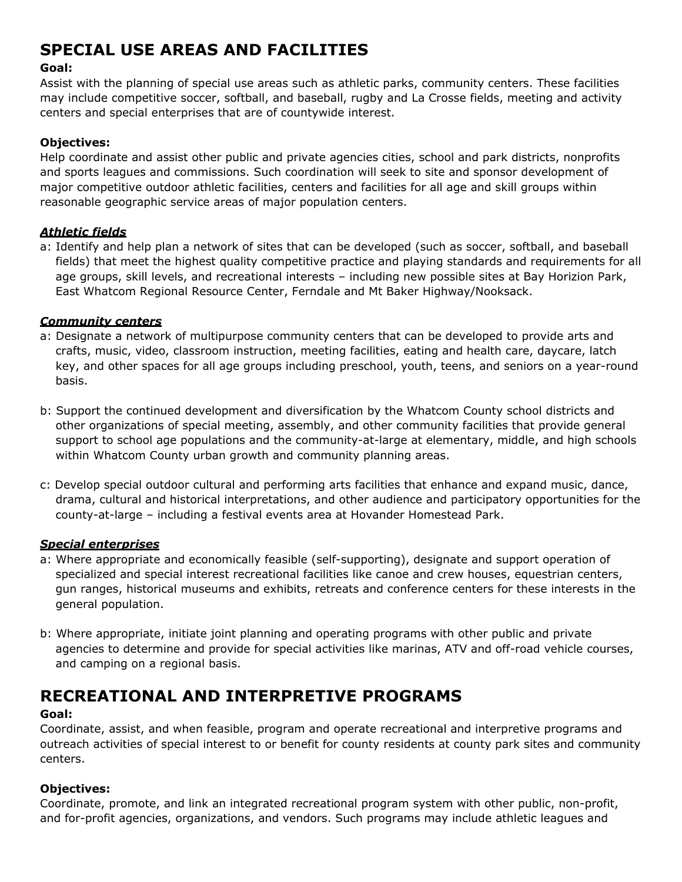# **SPECIAL USE AREAS AND FACILITIES**

# **Goal:**

Assist with the planning of special use areas such as athletic parks, community centers. These facilities may include competitive soccer, softball, and baseball, rugby and La Crosse fields, meeting and activity centers and special enterprises that are of countywide interest.

# **Objectives:**

Help coordinate and assist other public and private agencies cities, school and park districts, nonprofits and sports leagues and commissions. Such coordination will seek to site and sponsor development of major competitive outdoor athletic facilities, centers and facilities for all age and skill groups within reasonable geographic service areas of major population centers.

# *Athletic fields*

a: Identify and help plan a network of sites that can be developed (such as soccer, softball, and baseball fields) that meet the highest quality competitive practice and playing standards and requirements for all age groups, skill levels, and recreational interests – including new possible sites at Bay Horizion Park, East Whatcom Regional Resource Center, Ferndale and Mt Baker Highway/Nooksack.

### *Community centers*

- a: Designate a network of multipurpose community centers that can be developed to provide arts and crafts, music, video, classroom instruction, meeting facilities, eating and health care, daycare, latch key, and other spaces for all age groups including preschool, youth, teens, and seniors on a year-round basis.
- b: Support the continued development and diversification by the Whatcom County school districts and other organizations of special meeting, assembly, and other community facilities that provide general support to school age populations and the community-at-large at elementary, middle, and high schools within Whatcom County urban growth and community planning areas.
- c: Develop special outdoor cultural and performing arts facilities that enhance and expand music, dance, drama, cultural and historical interpretations, and other audience and participatory opportunities for the county-at-large – including a festival events area at Hovander Homestead Park.

#### *Special enterprises*

- a: Where appropriate and economically feasible (self-supporting), designate and support operation of specialized and special interest recreational facilities like canoe and crew houses, equestrian centers, gun ranges, historical museums and exhibits, retreats and conference centers for these interests in the general population.
- b: Where appropriate, initiate joint planning and operating programs with other public and private agencies to determine and provide for special activities like marinas, ATV and off-road vehicle courses, and camping on a regional basis.

# **RECREATIONAL AND INTERPRETIVE PROGRAMS**

### **Goal:**

Coordinate, assist, and when feasible, program and operate recreational and interpretive programs and outreach activities of special interest to or benefit for county residents at county park sites and community centers.

### **Objectives:**

Coordinate, promote, and link an integrated recreational program system with other public, non-profit, and for-profit agencies, organizations, and vendors. Such programs may include athletic leagues and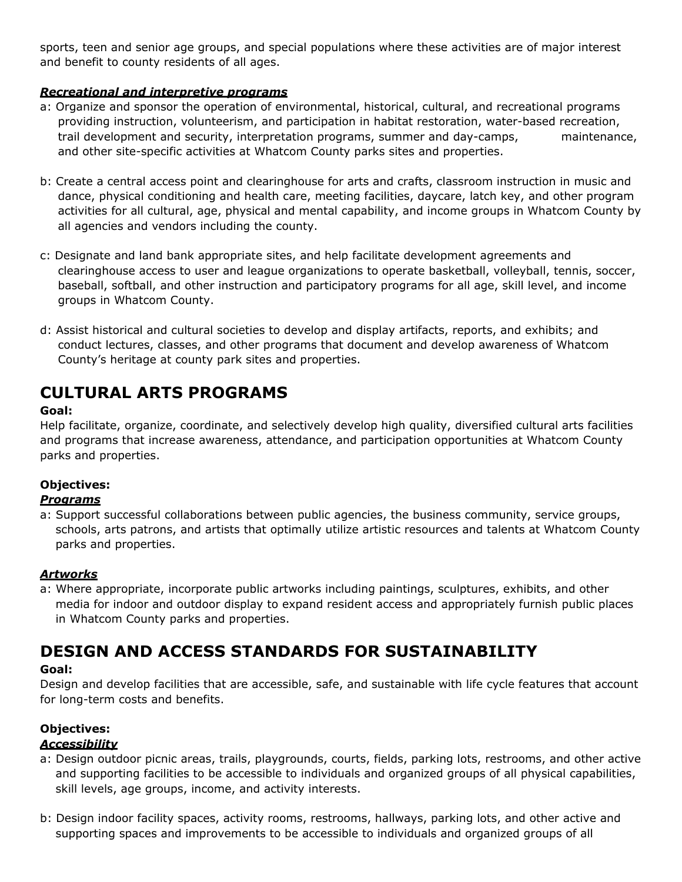sports, teen and senior age groups, and special populations where these activities are of major interest and benefit to county residents of all ages.

# *Recreational and interpretive programs*

- a: Organize and sponsor the operation of environmental, historical, cultural, and recreational programs providing instruction, volunteerism, and participation in habitat restoration, water-based recreation, trail development and security, interpretation programs, summer and day-camps, maintenance, and other site-specific activities at Whatcom County parks sites and properties.
- b: Create a central access point and clearinghouse for arts and crafts, classroom instruction in music and dance, physical conditioning and health care, meeting facilities, daycare, latch key, and other program activities for all cultural, age, physical and mental capability, and income groups in Whatcom County by all agencies and vendors including the county.
- c: Designate and land bank appropriate sites, and help facilitate development agreements and clearinghouse access to user and league organizations to operate basketball, volleyball, tennis, soccer, baseball, softball, and other instruction and participatory programs for all age, skill level, and income groups in Whatcom County.
- d: Assist historical and cultural societies to develop and display artifacts, reports, and exhibits; and conduct lectures, classes, and other programs that document and develop awareness of Whatcom County's heritage at county park sites and properties.

# **CULTURAL ARTS PROGRAMS**

# **Goal:**

Help facilitate, organize, coordinate, and selectively develop high quality, diversified cultural arts facilities and programs that increase awareness, attendance, and participation opportunities at Whatcom County parks and properties.

# **Objectives:**

# *Programs*

a: Support successful collaborations between public agencies, the business community, service groups, schools, arts patrons, and artists that optimally utilize artistic resources and talents at Whatcom County parks and properties.

### *Artworks*

a: Where appropriate, incorporate public artworks including paintings, sculptures, exhibits, and other media for indoor and outdoor display to expand resident access and appropriately furnish public places in Whatcom County parks and properties.

# **DESIGN AND ACCESS STANDARDS FOR SUSTAINABILITY**

### **Goal:**

Design and develop facilities that are accessible, safe, and sustainable with life cycle features that account for long-term costs and benefits.

# **Objectives:**

# *Accessibility*

- a: Design outdoor picnic areas, trails, playgrounds, courts, fields, parking lots, restrooms, and other active and supporting facilities to be accessible to individuals and organized groups of all physical capabilities, skill levels, age groups, income, and activity interests.
- b: Design indoor facility spaces, activity rooms, restrooms, hallways, parking lots, and other active and supporting spaces and improvements to be accessible to individuals and organized groups of all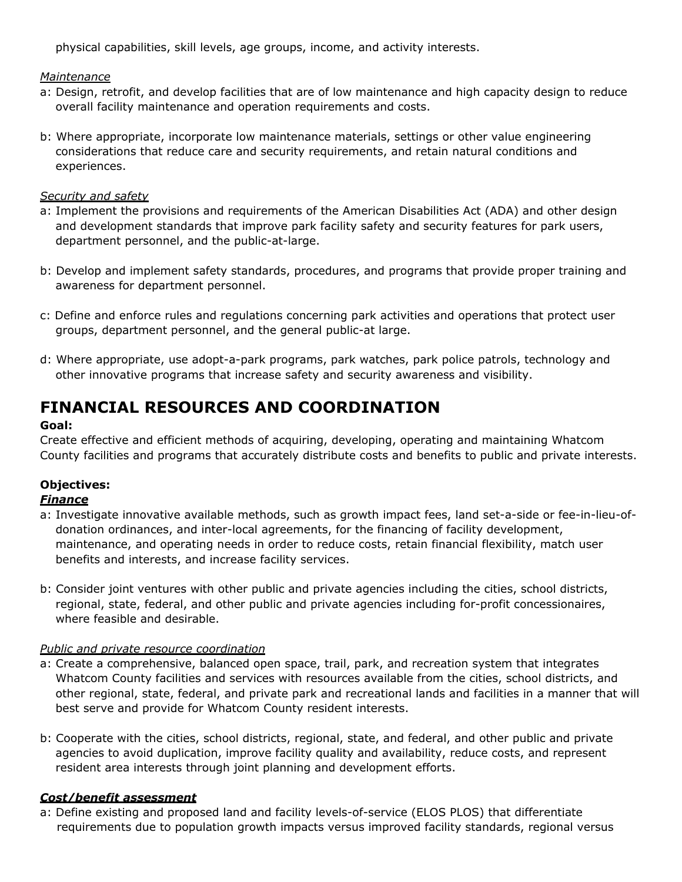physical capabilities, skill levels, age groups, income, and activity interests.

### *Maintenance*

- a: Design, retrofit, and develop facilities that are of low maintenance and high capacity design to reduce overall facility maintenance and operation requirements and costs.
- b: Where appropriate, incorporate low maintenance materials, settings or other value engineering considerations that reduce care and security requirements, and retain natural conditions and experiences.

#### *Security and safety*

- a: Implement the provisions and requirements of the American Disabilities Act (ADA) and other design and development standards that improve park facility safety and security features for park users, department personnel, and the public-at-large.
- b: Develop and implement safety standards, procedures, and programs that provide proper training and awareness for department personnel.
- c: Define and enforce rules and regulations concerning park activities and operations that protect user groups, department personnel, and the general public-at large.
- d: Where appropriate, use adopt-a-park programs, park watches, park police patrols, technology and other innovative programs that increase safety and security awareness and visibility.

# **FINANCIAL RESOURCES AND COORDINATION**

### **Goal:**

Create effective and efficient methods of acquiring, developing, operating and maintaining Whatcom County facilities and programs that accurately distribute costs and benefits to public and private interests.

# **Objectives:**

### *Finance*

- a: Investigate innovative available methods, such as growth impact fees, land set-a-side or fee-in-lieu-ofdonation ordinances, and inter-local agreements, for the financing of facility development, maintenance, and operating needs in order to reduce costs, retain financial flexibility, match user benefits and interests, and increase facility services.
- b: Consider joint ventures with other public and private agencies including the cities, school districts, regional, state, federal, and other public and private agencies including for-profit concessionaires, where feasible and desirable.

### *Public and private resource coordination*

- a: Create a comprehensive, balanced open space, trail, park, and recreation system that integrates Whatcom County facilities and services with resources available from the cities, school districts, and other regional, state, federal, and private park and recreational lands and facilities in a manner that will best serve and provide for Whatcom County resident interests.
- b: Cooperate with the cities, school districts, regional, state, and federal, and other public and private agencies to avoid duplication, improve facility quality and availability, reduce costs, and represent resident area interests through joint planning and development efforts.

### *Cost/benefit assessment*

a: Define existing and proposed land and facility levels-of-service (ELOS PLOS) that differentiate requirements due to population growth impacts versus improved facility standards, regional versus